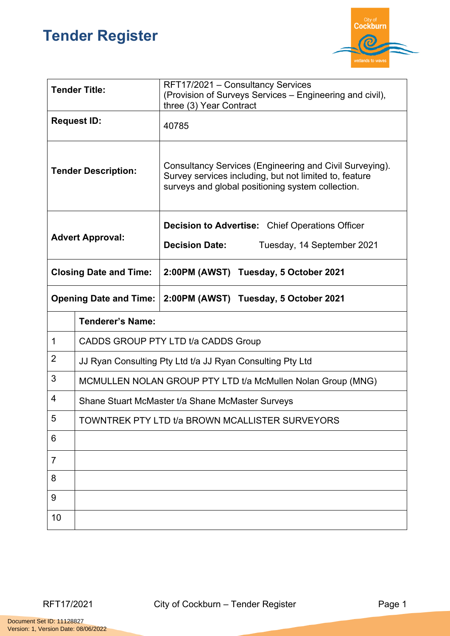## **Tender Register**



| <b>Tender Title:</b>          |                                                             | RFT17/2021 - Consultancy Services<br>(Provision of Surveys Services – Engineering and civil),<br>three (3) Year Contract                                               |  |
|-------------------------------|-------------------------------------------------------------|------------------------------------------------------------------------------------------------------------------------------------------------------------------------|--|
| <b>Request ID:</b>            |                                                             | 40785                                                                                                                                                                  |  |
| <b>Tender Description:</b>    |                                                             | Consultancy Services (Engineering and Civil Surveying).<br>Survey services including, but not limited to, feature<br>surveys and global positioning system collection. |  |
| <b>Advert Approval:</b>       |                                                             | <b>Decision to Advertise:</b> Chief Operations Officer                                                                                                                 |  |
|                               |                                                             | <b>Decision Date:</b><br>Tuesday, 14 September 2021                                                                                                                    |  |
| <b>Closing Date and Time:</b> |                                                             | 2:00PM (AWST) Tuesday, 5 October 2021                                                                                                                                  |  |
| <b>Opening Date and Time:</b> |                                                             | 2:00PM (AWST) Tuesday, 5 October 2021                                                                                                                                  |  |
|                               | <b>Tenderer's Name:</b>                                     |                                                                                                                                                                        |  |
| $\mathbf 1$                   | CADDS GROUP PTY LTD t/a CADDS Group                         |                                                                                                                                                                        |  |
| 2                             | JJ Ryan Consulting Pty Ltd t/a JJ Ryan Consulting Pty Ltd   |                                                                                                                                                                        |  |
| 3                             | MCMULLEN NOLAN GROUP PTY LTD t/a McMullen Nolan Group (MNG) |                                                                                                                                                                        |  |
| 4                             | Shane Stuart McMaster t/a Shane McMaster Surveys            |                                                                                                                                                                        |  |
| 5                             | TOWNTREK PTY LTD t/a BROWN MCALLISTER SURVEYORS             |                                                                                                                                                                        |  |
| 6                             |                                                             |                                                                                                                                                                        |  |
| 7                             |                                                             |                                                                                                                                                                        |  |
| 8                             |                                                             |                                                                                                                                                                        |  |
| 9                             |                                                             |                                                                                                                                                                        |  |
| 10                            |                                                             |                                                                                                                                                                        |  |